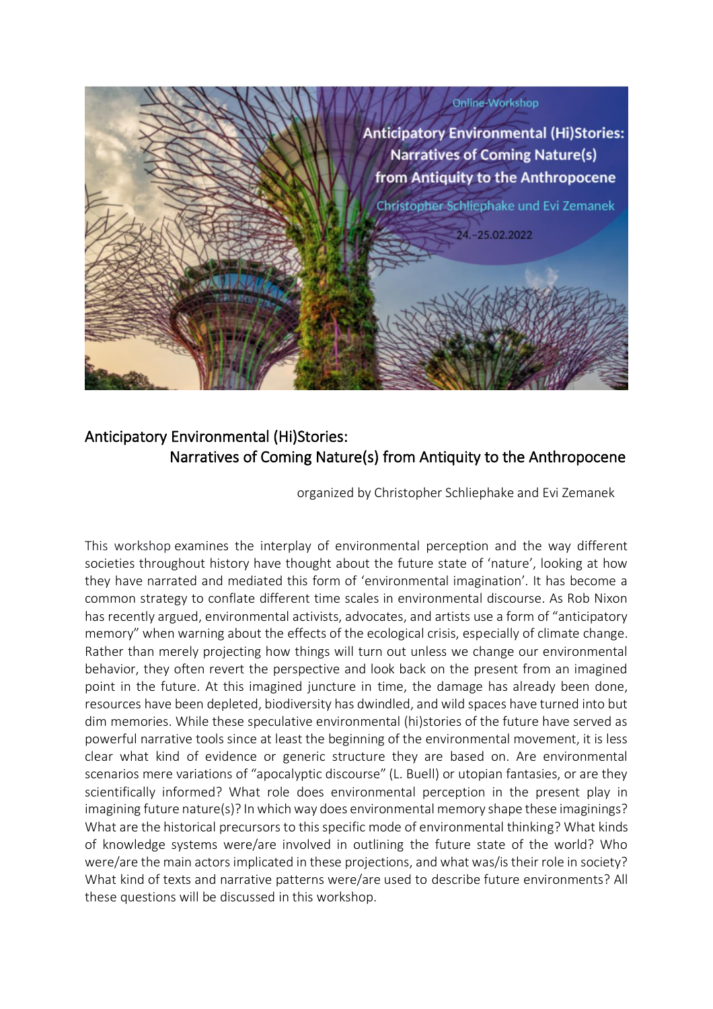

# Anticipatory Environmental (Hi)Stories: Narratives of Coming Nature(s) from Antiquity to the Anthropocene

organized by Christopher Schliephake and Evi Zemanek

This workshop examines the interplay of environmental perception and the way different societies throughout history have thought about the future state of 'nature', looking at how they have narrated and mediated this form of 'environmental imagination'. It has become a common strategy to conflate different time scales in environmental discourse. As Rob Nixon has recently argued, environmental activists, advocates, and artists use a form of "anticipatory memory" when warning about the effects of the ecological crisis, especially of climate change. Rather than merely projecting how things will turn out unless we change our environmental behavior, they often revert the perspective and look back on the present from an imagined point in the future. At this imagined juncture in time, the damage has already been done, resources have been depleted, biodiversity has dwindled, and wild spaces have turned into but dim memories. While these speculative environmental (hi)stories of the future have served as powerful narrative tools since at least the beginning of the environmental movement, it is less clear what kind of evidence or generic structure they are based on. Are environmental scenarios mere variations of "apocalyptic discourse" (L. Buell) or utopian fantasies, or are they scientifically informed? What role does environmental perception in the present play in imagining future nature(s)? In which way does environmental memory shape these imaginings? What are the historical precursors to this specific mode of environmental thinking? What kinds of knowledge systems were/are involved in outlining the future state of the world? Who were/are the main actors implicated in these projections, and what was/is their role in society? What kind of texts and narrative patterns were/are used to describe future environments? All these questions will be discussed in this workshop.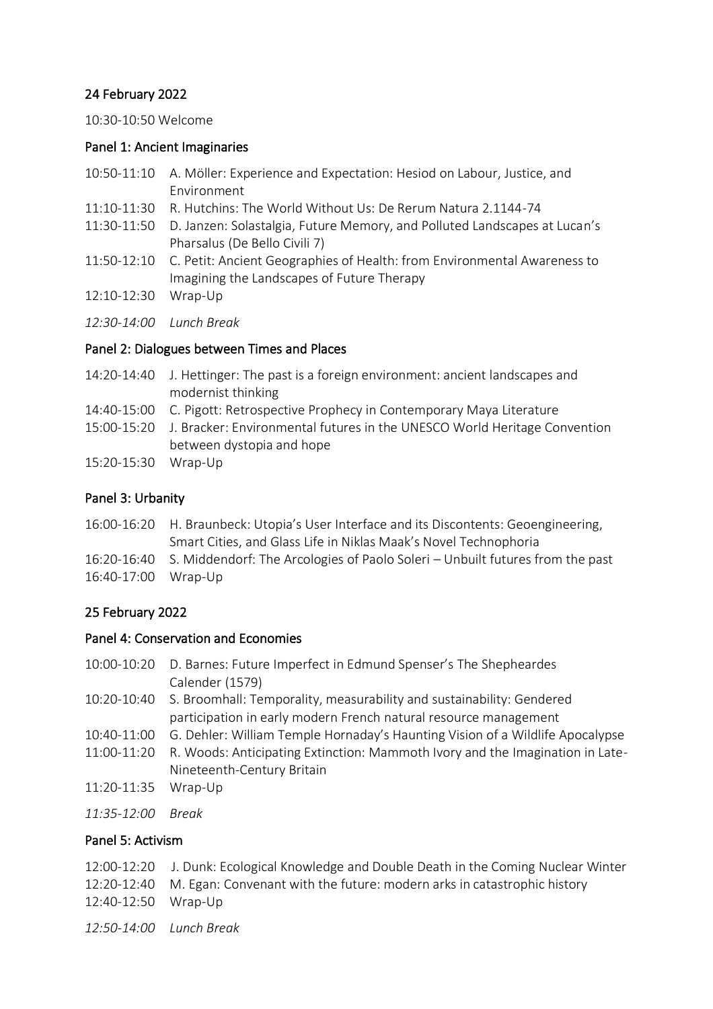## 24 February 2022

10:30-10:50 Welcome

#### Panel 1: Ancient Imaginaries

- 10:50-11:10 A. Möller: Experience and Expectation: Hesiod on Labour, Justice, and Environment
- 11:10-11:30 R. Hutchins: The World Without Us: De Rerum Natura 2.1144-74
- 11:30-11:50 D. Janzen: Solastalgia, Future Memory, and Polluted Landscapes at Lucan's Pharsalus (De Bello Civili 7)
- 11:50-12:10 C. Petit: Ancient Geographies of Health: from Environmental Awareness to Imagining the Landscapes of Future Therapy
- 12:10-12:30 Wrap-Up
- *12:30-14:00 Lunch Break*

## Panel 2: Dialogues between Times and Places

- 14:20-14:40 J. Hettinger: The past is a foreign environment: ancient landscapes and modernist thinking
- 14:40-15:00 C. Pigott: Retrospective Prophecy in Contemporary Maya Literature
- 15:00-15:20 J. Bracker: Environmental futures in the UNESCO World Heritage Convention between dystopia and hope
- 15:20-15:30 Wrap-Up

# Panel 3: Urbanity

- 16:00-16:20 H. Braunbeck: Utopia's User Interface and its Discontents: Geoengineering, Smart Cities, and Glass Life in Niklas Maak's Novel Technophoria
- 16:20-16:40 S. Middendorf: The Arcologies of Paolo Soleri Unbuilt futures from the past 16:40-17:00 Wrap-Up

# 25 February 2022

## Panel 4: Conservation and Economies

- 10:00-10:20 D. Barnes: Future Imperfect in Edmund Spenser's The Shepheardes Calender (1579)
- 10:20-10:40 S. Broomhall: Temporality, measurability and sustainability: Gendered participation in early modern French natural resource management
- 10:40-11:00 G. Dehler: William Temple Hornaday's Haunting Vision of a Wildlife Apocalypse
- 11:00-11:20 R. Woods: Anticipating Extinction: Mammoth Ivory and the Imagination in Late-Nineteenth-Century Britain
- 11:20-11:35 Wrap-Up
- *11:35-12:00 Break*

## Panel 5: Activism

- 12:00-12:20 J. Dunk: Ecological Knowledge and Double Death in the Coming Nuclear Winter 12:20-12:40 M. Egan: Convenant with the future: modern arks in catastrophic history 12:40-12:50 Wrap-Up
- *12:50-14:00 Lunch Break*